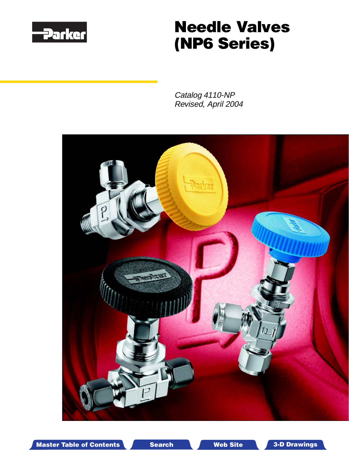

# **Needle Valves (NP6 Series)**

Catalog 4110-NP Revised, April 2004



Master Table of Contents **3. Dearch Master Table of Contents 3-D Drawings 3-D Drawings** 

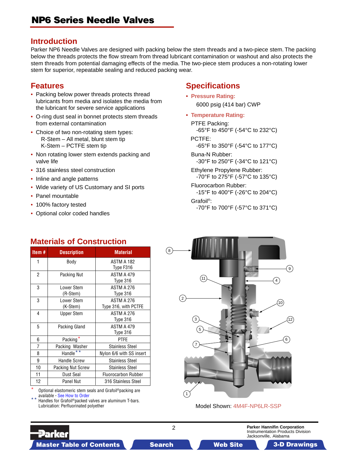### **Introduction**

Parker NP6 Needle Valves are designed with packing below the stem threads and a two-piece stem. The packing below the threads protects the flow stream from thread lubricant contamination or washout and also protects the stem threads from potential damaging effects of the media. The two-piece stem produces a non-rotating lower stem for superior, repeatable sealing and reduced packing wear.

8

### **Features**

- Packing below power threads protects thread lubricants from media and isolates the media from the lubricant for severe service applications
- O-ring dust seal in bonnet protects stem threads from external contamination
- Choice of two non-rotating stem types: R-Stem – All metal, blunt stem tip K-Stem – PCTFE stem tip
- Non rotating lower stem extends packing and valve life
- 316 stainless steel construction
- Inline and angle patterns
- Wide variety of US Customary and SI ports
- Panel mountable
- 100% factory tested
- Optional color coded handles

**Materials of Construction**

## **Specifications**

- **Pressure Rating:** 6000 psig (414 bar) CWP
- **Temperature Rating:**
	- PTFE Packing: -65°F to 450°F (-54°C to 232°C) PCTFE: -65°F to 350°F (-54°C to 177°C) Buna-N Rubber: -30°F to 250°F (-34°C to 121°C) Ethylene Propylene Rubber: -70°F to 275°F (-57°C to 135°C) Fluorocarbon Rubber: -15°F to 400°F (-26°C to 204°C) Grafoil®:

-70°F to 700°F (-57°C to 371°C)

| Item # | <b>Description</b>       | <b>Material</b>            |  |  |
|--------|--------------------------|----------------------------|--|--|
| 1      | Body                     | ASTM A 182                 |  |  |
|        |                          | Type F316                  |  |  |
| 2      | <b>Packing Nut</b>       | ASTM A 479                 |  |  |
|        |                          | Type 316                   |  |  |
| 3      | Lower Stem               | ASTM A 276                 |  |  |
|        | (R-Stem)                 | Type 316                   |  |  |
| 3      | Lower Stem               | ASTM A 276                 |  |  |
|        | (K-Stem)                 | Type 316, with PCTFE       |  |  |
| 4      | <b>Upper Stem</b>        | ASTM A 276                 |  |  |
|        |                          | Type 316                   |  |  |
| 5      | Packing Gland            | ASTM A 479                 |  |  |
|        |                          | Type 316                   |  |  |
| 6      | Packing*                 | <b>PTFE</b>                |  |  |
| 7      | Packing Washer           | <b>Stainless Steel</b>     |  |  |
| 8      | Handle <sup>**</sup>     | Nylon 6/6 with SS insert   |  |  |
| 9      | <b>Handle Screw</b>      | <b>Stainless Steel</b>     |  |  |
| 10     | <b>Packing Nut Screw</b> | Stainless Steel            |  |  |
| 11     | Dust Seal                | <b>Fluorocarbon Rubber</b> |  |  |
| 12     | Panel Nut                | 316 Stainless Steel        |  |  |

Op[tional elastomeric stem seals and](#page-3-0) Grafoil® packing are available - See How to Order

Handles for Grafoil® packed valves are aluminum T-bars. Lubrication: Perfluorinated polyether



Model Shown: 4M4F-NP6LR-SSP

2 **Parker Hannifin Corporation**

2arker Master Table of Contents **3. Dearch Master Table of Contents 3-D Drawings Search** Master Table of Contents 3-D Drawings



Instrumentation Products Division Jacksonville, Alabama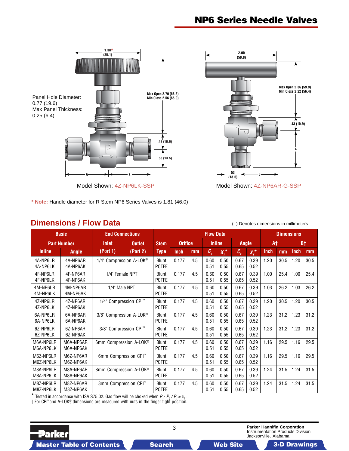# **NP6 Series Needle Valves**



**\* Note:** Handle diameter for R Stem NP6 Series Valves is 1.81 (46.0)

# **Dimensions / Flow Data**



( ) Denotes dimensions in millimeters

|                        | <b>Basic</b>           |                       | <b>End Connections</b>              |                              |                |     | <b>Flow Data</b>           |                  |                            |              |             | <b>Dimensions</b> |             |      |
|------------------------|------------------------|-----------------------|-------------------------------------|------------------------------|----------------|-----|----------------------------|------------------|----------------------------|--------------|-------------|-------------------|-------------|------|
|                        | <b>Part Number</b>     | <b>Inlet</b>          | <b>Outlet</b>                       | <b>Stem</b>                  | <b>Orifice</b> |     | <b>Inline</b>              |                  | Angle                      |              | A†          |                   |             | B†   |
| <b>Inline</b>          | Angle                  | (Port 1)              | (Port 2)                            | <b>Type</b>                  | <b>Inch</b>    | mm  | $c_{\scriptscriptstyle v}$ | $X_\tau^{\star}$ | $c_{\scriptscriptstyle v}$ | $X_\tau^*$   | <b>Inch</b> | mm                | <b>Inch</b> | mm   |
| 4A-NP6LR<br>4A-NP6LK   | 4A-NP6AR<br>4A-NP6AK   |                       | 1/4" Compression A-LOK <sup>®</sup> | Blunt<br><b>PCTFE</b>        | 0.177          | 4.5 | 0.60<br>0.51               | 0.50<br>0.55     | 0.67<br>0.65               | 0.39<br>0.52 | 1.20        | 30.5              | 1.20        | 30.5 |
| 4F-NP6LR<br>4F-NP6LK   | 4F-NP6AR<br>4F-NP6AK   | 1/4" Female NPT       |                                     | Blunt<br><b>PCTFE</b>        | 0.177          | 4.5 | 0.60<br>0.51               | 0.50<br>0.55     | 0.67<br>0.65               | 0.39<br>0.52 | 1.00        | 25.4              | 1.00        | 25.4 |
| 4M-NP6LR<br>4M-NP6LK   | 4M-NP6AR<br>4M-NP6AK   | 1/4" Male NPT         |                                     | Blunt<br><b>PCTFE</b>        | 0.177          | 4.5 | 0.60<br>0.51               | 0.50<br>0.55     | 0.67<br>0.65               | 0.39<br>0.52 | 1.03        | 26.2              | 1.03        | 26.2 |
| 4Z-NP6LR<br>4Z-NP6LK   | 4Z-NP6AR<br>4Z-NP6AK   | 1/4" Compression CPI™ |                                     | <b>Blunt</b><br><b>PCTFE</b> | 0.177          | 4.5 | 0.60<br>0.51               | 0.50<br>0.55     | 0.67<br>0.65               | 0.39<br>0.52 | 1.20        | 30.5              | 1.20        | 30.5 |
| 6A-NP6LR<br>6A-NP6LK   | 6A-NP6AR<br>6A-NP6AK   |                       | 3/8" Compression A-LOK®             | <b>Blunt</b><br><b>PCTFE</b> | 0.177          | 4.5 | 0.60<br>0.51               | 0.50<br>0.55     | 0.67<br>0.65               | 0.39<br>0.52 | 1.23        | 31.2              | 1.23        | 31.2 |
| 6Z-NP6LR<br>6Z-NP6LK   | 6Z-NP6AR<br>6Z-NP6AK   |                       | 3/8" Compression CPI™               | <b>Blunt</b><br><b>PCTFE</b> | 0.177          | 4.5 | 0.60<br>0.51               | 0.50<br>0.55     | 0.67<br>0.65               | 0.39<br>0.52 | 1.23        | 31.2              | 1.23        | 31.2 |
| M6A-NP6LR<br>M6A-NP6LK | M6A-NP6AR<br>M6A-NP6AK |                       | 6mm Compression A-LOK <sup>®</sup>  | <b>Blunt</b><br><b>PCTFE</b> | 0.177          | 4.5 | 0.60<br>0.51               | 0.50<br>0.55     | 0.67<br>0.65               | 0.39<br>0.52 | 1.16        | 29.5              | 1.16        | 29.5 |
| M6Z-NP6LR<br>M6Z-NP6LK | M6Z-NP6AR<br>M6Z-NP6AK |                       | 6mm Compression CPI™                | <b>Blunt</b><br><b>PCTFE</b> | 0.177          | 4.5 | 0.60<br>0.51               | 0.50<br>0.55     | 0.67<br>0.65               | 0.39<br>0.52 | 1.16        | 29.5              | 1.16        | 29.5 |
| M8A-NP6LR<br>M8A-NP6LK | M8A-NP6AR<br>M8A-NP6AK |                       | 8mm Compression A-LOK®              | Blunt<br><b>PCTFE</b>        | 0.177          | 4.5 | 0.60<br>0.51               | 0.50<br>0.55     | 0.67<br>0.65               | 0.39<br>0.52 | 1.24        | 31.5              | 1.24        | 31.5 |
| M8Z-NP6LR<br>M8Z-NP6LK | M8Z-NP6AR<br>M8Z-NP6AK |                       | 8mm Compression CPI™                | <b>Blunt</b><br><b>PCTFE</b> | 0.177          | 4.5 | 0.60<br>0.51               | 0.50<br>0.55     | 0.67<br>0.65               | 0.39<br>0.52 | 1.24        | 31.5              | 1.24        | 31.5 |

\* Tested in accordance with ISA S75.02. Gas flow will be choked when  $P_1 - P_2 / P_1 = x_T$ .

† For CPI™ and A-LOK®, dimensions are measured with nuts in the finger tight position.

**Parker** Master Table of Contents Search Web Site Allen Drawings Search Master Table of Contents 3-D Drawings

3 **Parker Hannifin Corporation** Instrumentation Products Division Jacksonville, Alabama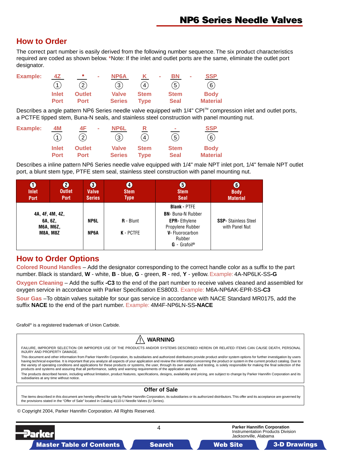# <span id="page-3-0"></span>**How to Order**

The correct part number is easily derived from the following number sequence. The six product characteristics required are coded as shown below. \*Note: If the inlet and outlet ports are the same, eliminate the outlet port designator.

| <b>Example:</b> | 4Z           | *<br>$\mathbf{r}$ | NP6A          | <u>K</u>          | ΒN<br>÷     | <b>SSP</b><br>$\sim$ |
|-----------------|--------------|-------------------|---------------|-------------------|-------------|----------------------|
|                 | (1)          | $\bf(2)$          | (3)           | $\left( 4\right)$ | (5)         | $\hat{6}$            |
|                 | <b>Inlet</b> | <b>Outlet</b>     | <b>Valve</b>  | <b>Stem</b>       | <b>Stem</b> | <b>Body</b>          |
|                 | <b>Port</b>  | <b>Port</b>       | <b>Series</b> | Tvpe              | <b>Seal</b> | <b>Material</b>      |

Describes a angle pattern NP6 Series needle valve equipped with 1/4" CPI™ compression inlet and outlet ports, a PCTFE tipped stem, Buna-N seals, and stainless steel construction with panel mounting nut.

| Example: | 4M                          | 4F<br>$\sim$                 | NP6L                   | R                          | $\sim$                     | <u>SSP</u>                     |
|----------|-----------------------------|------------------------------|------------------------|----------------------------|----------------------------|--------------------------------|
|          | $\left( 1\right)$           | $\mathbf{2}$                 | $\mathbf{3}$           | $\left( 4\right)$          | (5)                        | $\left( 6\right)$              |
|          | <b>Inlet</b><br><b>Port</b> | <b>Outlet</b><br><b>Port</b> | Valve<br><b>Series</b> | <b>Stem</b><br><b>Type</b> | <b>Stem</b><br><b>Seal</b> | <b>Body</b><br><b>Material</b> |

Describes a inline pattern NP6 Series needle valve equipped with 1/4" male NPT inlet port, 1/4" female NPT outlet port, a blunt stem type, PTFE stem seal, stainless steel construction with panel mounting nut.

| Л.<br><b>Inlet</b><br><b>Port</b> | $\left( 2\right)$<br><b>Outlet</b><br><b>Port</b> |              | $\left( 4\right)$<br><b>Stem</b><br><b>Type</b> | $\overline{\mathbf{5}}$<br><b>Stem</b><br><b>Seal</b>                                                                          | 6<br><b>Body</b><br><b>Material</b>           |
|-----------------------------------|---------------------------------------------------|--------------|-------------------------------------------------|--------------------------------------------------------------------------------------------------------------------------------|-----------------------------------------------|
| 4A, 4F, 4M, 4Z,<br>6A, 6Z,        | <b>M6A, M6Z,</b><br><b>M8A, M8Z</b>               | NP6L<br>NP6A | $R - Blunt$<br><b>K</b> - PCTFE                 | <b>Blank - PTFE</b><br><b>BN-</b> Buna-N Rubber<br><b>EPR-Ethylene</b><br>Propylene Rubber<br><b>V-</b> Fluorocarbon<br>Rubber | <b>SSP-</b> Stainless Steel<br>with Panel Nut |
|                                   |                                                   |              |                                                 | $G - Grafoi$ <sup>®</sup>                                                                                                      |                                               |

### **How to Order Options**

**Colored Round Handles** – Add the designator corresponding to the correct handle color as a suffix to the part number. Black is standard, **W** - white, **B** - blue, **G** - green, **R** - red, **Y** - yellow.Example: 4A-NP6LK-SS**-G**

**Oxygen Cleaning** – Add the suffix **-C3** to the end of the part number to receive valves cleaned and assembled for oxygen service in accordance with Parker Specification ES8003. Example: M6A-NP6AK-EPR-SS**-C3**

**Sour Gas** –To obtain valves suitable for sour gas service in accordance with NACE Standard MR0175, add the suffix **NACE** to the end of the part number. Example: 4M4F-NP6LN-SS**-NACE**

Grafoil® is a registered trademark of Union Carbide.

|                                                                                                                     | <b>WARNING</b> |                                                                                                                                                                                                                                                                                                                                                                                                                                                                                                                                                                                                   |
|---------------------------------------------------------------------------------------------------------------------|----------------|---------------------------------------------------------------------------------------------------------------------------------------------------------------------------------------------------------------------------------------------------------------------------------------------------------------------------------------------------------------------------------------------------------------------------------------------------------------------------------------------------------------------------------------------------------------------------------------------------|
| INJURY AND PROPERTY DAMAGE.                                                                                         |                | FAILURE, IMPROPER SELECTION OR IMPROPER USE OF THE PRODUCTS AND/OR SYSTEMS DESCRIBED HEREIN OR RELATED ITEMS CAN CAUSE DEATH, PERSONAL                                                                                                                                                                                                                                                                                                                                                                                                                                                            |
| products and systems and assuring that all performance, safety and warning requirements of the application are met. |                | This document and other information from Parker Hannifin Corporation, its subsidiaries and authorized distributors provide product and/or system options for further investigation by users<br>having technical expertise. It is important that you analyze all aspects of your application and review the information concerning the product or system in the current product catalog. Due to<br>the variety of operating conditions and applications for these products or systems, the user, through its own analysis and testing, is solely responsible for making the final selection of the |
| subsidiaries at any time without notice.                                                                            |                | The products described herein, including without limitation, product features, specifications, designs, availability and pricing, are subject to change by Parker Hannifin Corporation and its                                                                                                                                                                                                                                                                                                                                                                                                    |
|                                                                                                                     | Offer of Sale  |                                                                                                                                                                                                                                                                                                                                                                                                                                                                                                                                                                                                   |
| the provisions stated in the "Offer of Sale" located in Catalog 4110-U Needle Valves (U Series).                    |                | The items described in this document are hereby offered for sale by Parker Hannifin Corporation, its subsidiaries or its authorized distributors. This offer and its acceptance are governed by                                                                                                                                                                                                                                                                                                                                                                                                   |
| © Copyright 2004, Parker Hannifin Corporation. All Rights Reserved.                                                 |                |                                                                                                                                                                                                                                                                                                                                                                                                                                                                                                                                                                                                   |
|                                                                                                                     |                |                                                                                                                                                                                                                                                                                                                                                                                                                                                                                                                                                                                                   |
| <del>- P</del> arker                                                                                                |                | <b>Parker Hannifin Corporation</b><br><b>Instrumentation Products Division</b><br>Jacksonville, Alabama                                                                                                                                                                                                                                                                                                                                                                                                                                                                                           |

Master Table of Contents **3. Dearch Master Table of Contents 3-D Drawings Search** Master Table of Contents 3-D Drawings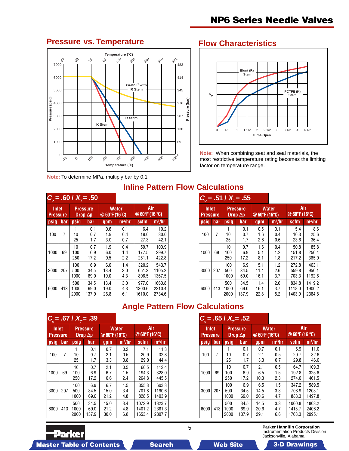#### $2^{\circ}$  $\circ$ 81 20 20 89 80 80  $\gamma$  $\hat{\mathcal{S}}$  $\mathcal{R}^6$ 38  $\phi$ 189 20<sup>4</sup> 260 316  $\mathcal{A}^{\prime}$ 0 1000 2000 3000 4000 5000 6000 7000  $\overline{0}$ 69 138 207 276 345 414 483 **Pressure (psig) Pressure (bar) Temperature (˚F) Temperature (˚C) Grafoil® with R Stem K Stem R Stem**

# **Pressure vs. Temperature Flow Characteristics**

#### **Note:** To determine MPa, multiply bar by 0.1



**Note:** When combining seat and seal materials, the most restrictive temperature rating becomes the limiting factor on temperature range.

|                          |     |                     | $C_v = .60 / X_t = .50$            |                      |                        |                           |                            |
|--------------------------|-----|---------------------|------------------------------------|----------------------|------------------------|---------------------------|----------------------------|
| Inlet<br><b>Pressure</b> |     |                     | <b>Pressure</b><br>Drop $\Delta p$ |                      | Water<br>@ 60°F (16°C) |                           | Air<br>@ 60°F (16 °C)      |
| psig                     | bar | psig                | bar                                | gpm                  | $m^3/hr$               | scfm                      | $m^3/hr$                   |
| 100                      | 7   | 1<br>10             | 0.1<br>0.7                         | 0.6<br>1.9           | 0.1<br>0.4             | 6.4<br>19.0               | 10.2<br>30.0               |
|                          |     | 25                  | 1.7                                | 3.0                  | 0.7                    | 27.3                      | 42.1                       |
| 1000                     | 69  | 10<br>100<br>250    | 0.7<br>6.9<br>17.2                 | 1.9<br>6.0<br>9.5    | 0.4<br>1.4<br>2.2      | 59.7<br>177.5<br>251.1    | 100.9<br>299.7<br>422.8    |
| 3000                     | 207 | 100<br>500<br>1000  | 6.9<br>34.5<br>69.0                | 6.0<br>13.4<br>19.0  | 1.4<br>3.0<br>4.3      | 320.2<br>651.3<br>806.5   | 543.7<br>1105.2<br>1367.5  |
| 6000                     | 413 | 500<br>1000<br>2000 | 34.5<br>69.0<br>137.9              | 13.4<br>19.0<br>26.8 | 3.0<br>4.3<br>6.1      | 977.0<br>1300.6<br>1610.0 | 1660.8<br>2210.4<br>2734.6 |

# **Inline Pattern Flow Calculations**

|      | $C_v$ = .51 / $X_\tau$ = .55    |                     |                                    |                      |                                             |                           |                            |  |  |  |  |  |  |
|------|---------------------------------|---------------------|------------------------------------|----------------------|---------------------------------------------|---------------------------|----------------------------|--|--|--|--|--|--|
|      | <b>Inlet</b><br><b>Pressure</b> |                     | <b>Pressure</b><br>Drop $\Delta p$ |                      | <b>Water</b><br>$@60^{\circ}F(16^{\circ}C)$ |                           | Air<br>@ 60°F (16°C)       |  |  |  |  |  |  |
| psig | bar                             | psig                | bar                                | gpm                  | $m^3/hr$                                    | scfm                      | $m^3/hr$                   |  |  |  |  |  |  |
| 100  | 7                               | 10<br>25            | 0.1<br>0.7<br>1.7                  | 0.5<br>1.6<br>2.6    | 0.1<br>0.4<br>0.6                           | 5.4<br>16.3<br>23.6       | 8.6<br>25.6<br>36.4        |  |  |  |  |  |  |
| 1000 | 69                              | 10<br>100<br>250    | 0.7<br>6.9<br>17.2                 | 1.6<br>5.1<br>8.1    | 0.4<br>1.2<br>1.8                           | 50.8<br>151.8<br>217.2    | 85.8<br>256.4<br>365.9     |  |  |  |  |  |  |
| 3000 | 207                             | 100<br>500<br>1000  | 6.9<br>34.5<br>69.0                | 5.1<br>11.4<br>16.1  | 1.2<br>2.6<br>3.7                           | 272.8<br>559.8<br>703.3   | 463.1<br>950.1<br>1192.6   |  |  |  |  |  |  |
| 6000 | 413                             | 500<br>1000<br>2000 | 34.5<br>69.0<br>137.9              | 11.4<br>16.1<br>22.8 | 2.6<br>3.7<br>5.2                           | 834.8<br>1118.0<br>1403.9 | 1419.2<br>1900.2<br>2384.8 |  |  |  |  |  |  |

# **Angle Pattern Flow Calculations**

|                                 |     |                     | $C_v$ = .67 / $X_t$ = .39          |                                    |                   |                            |                            |  |
|---------------------------------|-----|---------------------|------------------------------------|------------------------------------|-------------------|----------------------------|----------------------------|--|
| <b>Inlet</b><br><b>Pressure</b> |     |                     | <b>Pressure</b><br>Drop $\Delta p$ | @ $60^{\circ}$ F (16 $^{\circ}$ C) | <b>Water</b>      | Air<br>@ 60°F (16°C)       |                            |  |
| psig                            | bar | psig                | bar                                | gpm                                | $m^3/hr$          | scfm                       | $m^3/hr$                   |  |
| 100                             | 7   | 1<br>10<br>25       | 0.1<br>0.7<br>1.7                  | 0.7<br>2.1<br>3.3                  | 0.2<br>0.5<br>0.8 | 7.1<br>20.9<br>29.0        | 11.3<br>32.8<br>44.4       |  |
| 1000                            | 69  | 10<br>100<br>250    | 0.7<br>6.9<br>17.2                 | 2.1<br>6.7<br>10.6                 | 0.5<br>1.5<br>2.4 | 66.5<br>194.3<br>264.8     | 112.4<br>328.0<br>445.5    |  |
| 3000                            | 207 | 100<br>500<br>1000  | 6.9<br>34.5<br>69.0                | 6.7<br>15.0<br>21.2                | 1.5<br>3.4<br>4.8 | 355.3<br>701.8<br>828.5    | 603.3<br>1190.6<br>1403.9  |  |
| 6000                            | 413 | 500<br>1000<br>2000 | 34.5<br>69.0<br>137.9              | 15.0<br>21.2<br>30.0               | 3.4<br>4.8<br>6.8 | 1072.9<br>1401.2<br>1653.4 | 1823.7<br>2381.3<br>2807.7 |  |

|                                 |     |                                    | $C_v = .65 / X_r = .52$ |                             |                   |                            |                            |  |
|---------------------------------|-----|------------------------------------|-------------------------|-----------------------------|-------------------|----------------------------|----------------------------|--|
| <b>Inlet</b><br><b>Pressure</b> |     | <b>Pressure</b><br>Drop $\Delta p$ |                         | $@60^{\circ}F(16^{\circ}C)$ | <b>Water</b>      | Air<br>@ 60°F (16 °C)      |                            |  |
| psig                            | bar | psig                               | bar                     | gpm                         | $m^3/hr$          | scfm                       | $m^3/hr$                   |  |
| 100                             | 7   | 1<br>10<br>25                      | 0.1<br>0.7<br>1.7       | 0.7<br>2.1<br>3.3           | 0.1<br>0.5<br>0.7 | 6.9<br>20.7<br>29.8        | 11.0<br>32.6<br>46.0       |  |
| 1000                            | 69  | 10<br>100<br>250                   | 0.7<br>6.9<br>17.2      | 2.1<br>6.5<br>10.3          | 0.5<br>1.5<br>2.3 | 64.7<br>192.8<br>274.0     | 109.3<br>325.6<br>461.5    |  |
| 3000                            | 207 | 100<br>500<br>1000                 | 6.9<br>34.5<br>69.0     | 6.5<br>14.5<br>20.6         | 1.5<br>3.3<br>4.7 | 347.2<br>708.9<br>883.3    | 589.5<br>1203.1<br>1497.8  |  |
| 6000                            | 413 | 500<br>1000<br>2000                | 34.5<br>69.0<br>137.9   | 14.5<br>20.6<br>29.1        | 3.3<br>4.7<br>6.6 | 1060.8<br>1415.7<br>1763.3 | 1803.2<br>2406.2<br>2995.1 |  |

5 **Parker Hannifin Corporation**

Master Table of Contents **3. Search Master Table of Contents 3-D Drawings 3-D Drawings 3-D Drawings 3-D Drawings** 

Parker